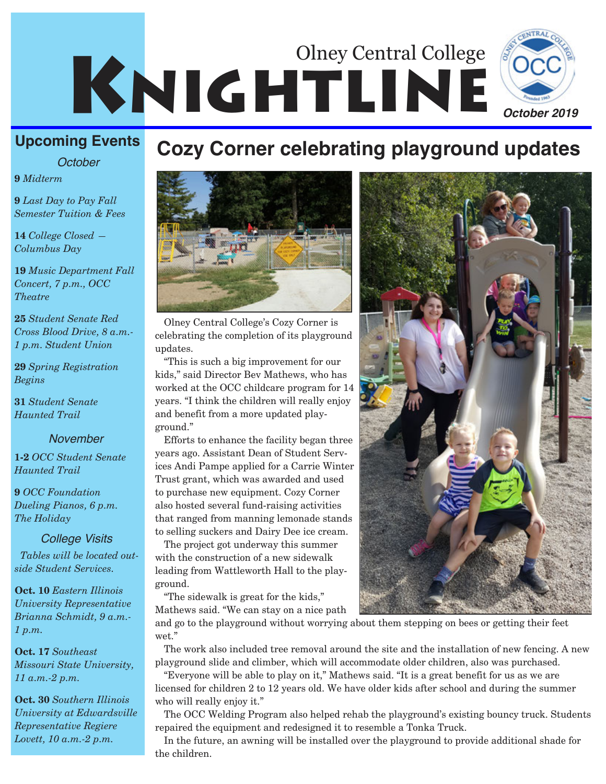

**Cozy Corner celebrating playground updates**

#### **Upcoming Events**

*October*

**9** *Midterm*

**9** *Last Day to Pay Fall Semester Tuition & Fees*

**14** *College Closed — Columbus Day*

**19** *Music Department Fall Concert, 7 p.m., OCC Theatre*

**25** *Student Senate Red Cross Blood Drive, 8 a.m.- 1 p.m. Student Union*

**29** *Spring Registration Begins*

**31** *Student Senate Haunted Trail*

#### *November*

**1-2** *OCC Student Senate Haunted Trail*

**9** *OCC Foundation Dueling Pianos, 6 p.m. The Holiday*

#### *College Visits*

*Tables will be located outside Student Services.* 

**Oct. 10** *Eastern Illinois University Representative Brianna Schmidt, 9 a.m.- 1 p.m.*

**Oct. 17** *Southeast Missouri State University, 11 a.m.-2 p.m.*

**Oct. 30** *Southern Illinois University at Edwardsville Representative Regiere Lovett, 10 a.m.-2 p.m.* 



Olney Central College's Cozy Corner is celebrating the completion of its playground updates.

"This is such a big improvement for our kids," said Director Bev Mathews, who has worked at the OCC childcare program for 14 years. "I think the children will really enjoy and benefit from a more updated playground."

Efforts to enhance the facility began three years ago. Assistant Dean of Student Services Andi Pampe applied for a Carrie Winter Trust grant, which was awarded and used to purchase new equipment. Cozy Corner also hosted several fund-raising activities that ranged from manning lemonade stands to selling suckers and Dairy Dee ice cream.

The project got underway this summer with the construction of a new sidewalk leading from Wattleworth Hall to the playground.

"The sidewalk is great for the kids," Mathews said. "We can stay on a nice path

and go to the playground without worrying about them stepping on bees or getting their feet wet."

The work also included tree removal around the site and the installation of new fencing. A new playground slide and climber, which will accommodate older children, also was purchased.

"Everyone will be able to play on it," Mathews said. "It is a great benefit for us as we are licensed for children 2 to 12 years old. We have older kids after school and during the summer who will really enjoy it."

The OCC Welding Program also helped rehab the playground's existing bouncy truck. Students repaired the equipment and redesigned it to resemble a Tonka Truck.

In the future, an awning will be installed over the playground to provide additional shade for the children.

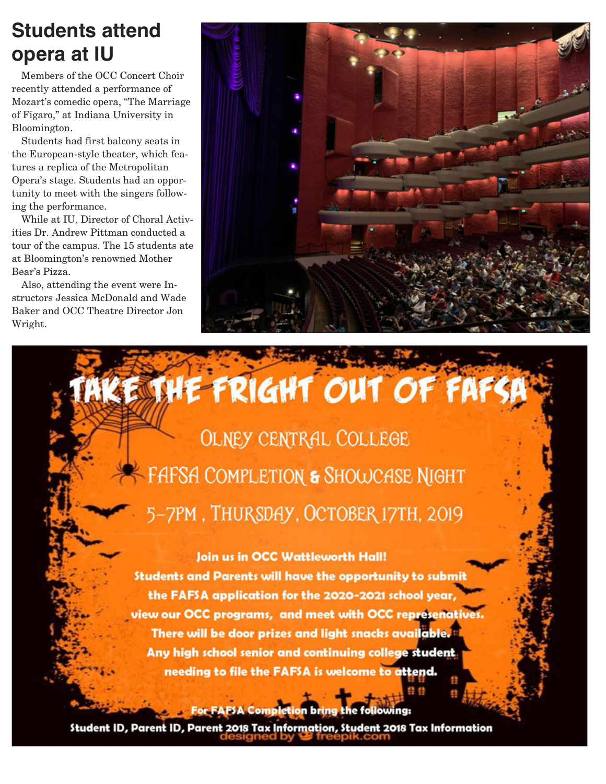## **Students attend opera at IU**

Members of the OCC Concert Choir recently attended a performance of Mozart's comedic opera, "The Marriage of Figaro," at Indiana University in Bloomington.

Students had first balcony seats in the European-style theater, which features a replica of the Metropolitan Opera's stage. Students had an opportunity to meet with the singers following the performance.

While at IU, Director of Choral Activities Dr. Andrew Pittman conducted a tour of the campus. The 15 students ate at Bloomington's renowned Mother Bear's Pizza.

Also, attending the event were Instructors Jessica McDonald and Wade Baker and OCC Theatre Director Jon Wright.



AKE THE FRIGHT OUT OF FAFSP

**OLNEY CENTRAL COLLEGE** FAFSA COMPLETION & SHOWCASE NIGHT 5-7PM, THURSDAY, OCTOBER 17TH, 2019

Join us in OCC Wattleworth Hall! Students and Parents will have the opportunity to submit the FAFSA application for the 2020-2021 school year, view our OCC programs, and meet with OCC represenatives. There will be door prizes and light snacks available. Any high school senior and continuing college student needing to file the FAFSA is welcome to attend.

For EAFSA Completion bring the following:

Student ID, Parent ID, Parent 2018 Tax Information, Student 2018 Tax Information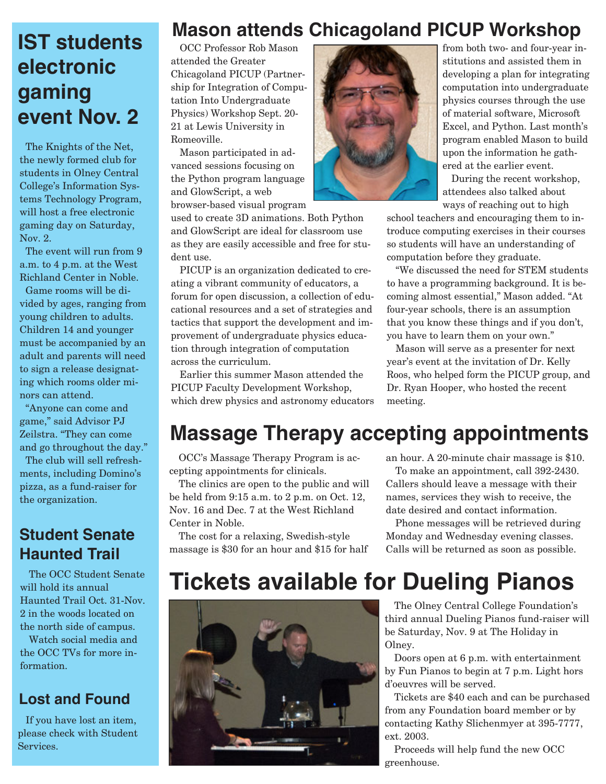## **IST students electronic gaming event Nov. 2**

The Knights of the Net, the newly formed club for students in Olney Central College's Information Systems Technology Program, will host a free electronic gaming day on Saturday, Nov. 2.

The event will run from 9 a.m. to 4 p.m. at the West Richland Center in Noble.

Game rooms will be divided by ages, ranging from young children to adults. Children 14 and younger must be accompanied by an adult and parents will need to sign a release designating which rooms older minors can attend.

"Anyone can come and game," said Advisor PJ Zeilstra. "They can come and go throughout the day."

The club will sell refreshments, including Domino's pizza, as a fund-raiser for the organization.

### **Student Senate Haunted Trail**

The OCC Student Senate will hold its annual Haunted Trail Oct. 31-Nov. 2 in the woods located on the north side of campus.

Watch social media and the OCC TVs for more information.

### **Lost and Found**

If you have lost an item, please check with Student Services.

### **Mason attends Chicagoland PICUP Workshop**

OCC Professor Rob Mason attended the Greater Chicagoland PICUP (Partnership for Integration of Computation Into Undergraduate Physics) Workshop Sept. 20- 21 at Lewis University in Romeoville.

Mason participated in advanced sessions focusing on the Python program language and GlowScript, a web browser-based visual program

used to create 3D animations. Both Python and GlowScript are ideal for classroom use as they are easily accessible and free for student use.

PICUP is an organization dedicated to creating a vibrant community of educators, a forum for open discussion, a collection of educational resources and a set of strategies and tactics that support the development and improvement of undergraduate physics education through integration of computation across the curriculum.

Earlier this summer Mason attended the PICUP Faculty Development Workshop, which drew physics and astronomy educators



from both two- and four-year institutions and assisted them in developing a plan for integrating computation into undergraduate physics courses through the use of material software, Microsoft Excel, and Python. Last month's program enabled Mason to build upon the information he gathered at the earlier event.

During the recent workshop, attendees also talked about ways of reaching out to high

school teachers and encouraging them to introduce computing exercises in their courses so students will have an understanding of computation before they graduate.

"We discussed the need for STEM students to have a programming background. It is becoming almost essential," Mason added. "At four-year schools, there is an assumption that you know these things and if you don't, you have to learn them on your own."

Mason will serve as a presenter for next year's event at the invitation of Dr. Kelly Roos, who helped form the PICUP group, and Dr. Ryan Hooper, who hosted the recent meeting.

## **Massage Therapy accepting appointments**

OCC's Massage Therapy Program is accepting appointments for clinicals.

The clinics are open to the public and will be held from 9:15 a.m. to 2 p.m. on Oct. 12, Nov. 16 and Dec. 7 at the West Richland Center in Noble.

The cost for a relaxing, Swedish-style massage is \$30 for an hour and \$15 for half an hour. A 20-minute chair massage is \$10.

To make an appointment, call 392-2430. Callers should leave a message with their names, services they wish to receive, the date desired and contact information.

Phone messages will be retrieved during Monday and Wednesday evening classes. Calls will be returned as soon as possible.

## **Tickets available for Dueling Pianos**



The Olney Central College Foundation's third annual Dueling Pianos fund-raiser will be Saturday, Nov. 9 at The Holiday in Olney.

Doors open at 6 p.m. with entertainment by Fun Pianos to begin at 7 p.m. Light hors d'oeuvres will be served.

Tickets are \$40 each and can be purchased from any Foundation board member or by contacting Kathy Slichenmyer at 395-7777, ext. 2003.

Proceeds will help fund the new OCC greenhouse.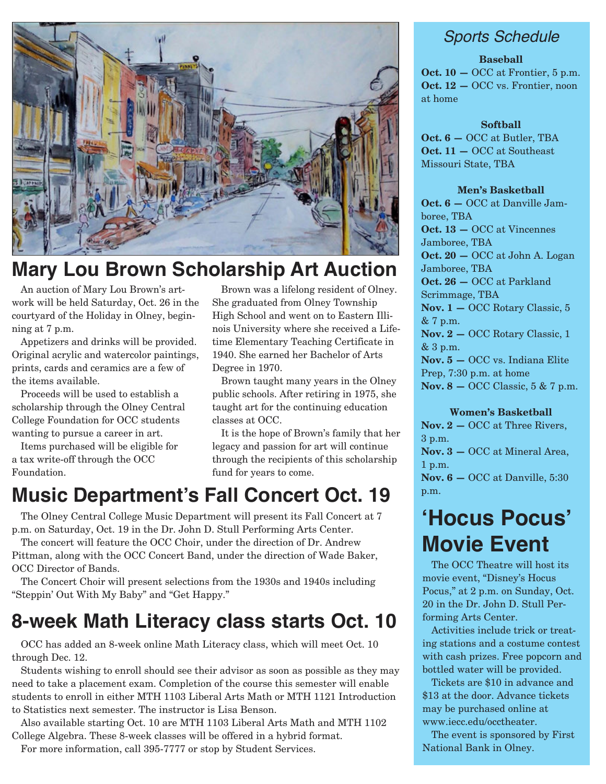

## **Mary Lou Brown Scholarship Art Auction**

An auction of Mary Lou Brown's artwork will be held Saturday, Oct. 26 in the courtyard of the Holiday in Olney, beginning at 7 p.m.

Appetizers and drinks will be provided. Original acrylic and watercolor paintings, prints, cards and ceramics are a few of the items available.

Proceeds will be used to establish a scholarship through the Olney Central College Foundation for OCC students wanting to pursue a career in art.

Items purchased will be eligible for a tax write-off through the OCC Foundation.

Brown was a lifelong resident of Olney. She graduated from Olney Township High School and went on to Eastern Illinois University where she received a Lifetime Elementary Teaching Certificate in 1940. She earned her Bachelor of Arts Degree in 1970.

Brown taught many years in the Olney public schools. After retiring in 1975, she taught art for the continuing education classes at OCC.

It is the hope of Brown's family that her legacy and passion for art will continue through the recipients of this scholarship fund for years to come.

## **Music Department's Fall Concert Oct. 19**

The Olney Central College Music Department will present its Fall Concert at 7 p.m. on Saturday, Oct. 19 in the Dr. John D. Stull Performing Arts Center.

The concert will feature the OCC Choir, under the direction of Dr. Andrew Pittman, along with the OCC Concert Band, under the direction of Wade Baker, OCC Director of Bands.

The Concert Choir will present selections from the 1930s and 1940s including "Steppin' Out With My Baby" and "Get Happy."

## **8-week Math Literacy class starts Oct. 10**

OCC has added an 8-week online Math Literacy class, which will meet Oct. 10 through Dec. 12.

Students wishing to enroll should see their advisor as soon as possible as they may need to take a placement exam. Completion of the course this semester will enable students to enroll in either MTH 1103 Liberal Arts Math or MTH 1121 Introduction to Statistics next semester. The instructor is Lisa Benson.

Also available starting Oct. 10 are MTH 1103 Liberal Arts Math and MTH 1102 College Algebra. These 8-week classes will be offered in a hybrid format.

For more information, call 395-7777 or stop by Student Services.

### *Sports Schedule*

#### **Baseball**

**Oct. 10 —** OCC at Frontier, 5 p.m. **Oct. 12 – OCC vs. Frontier, noon** at home

#### **Softball**

**Oct. 6 —** OCC at Butler, TBA **Oct. 11 —** OCC at Southeast Missouri State, TBA

#### **Men's Basketball**

**Oct. 6 —** OCC at Danville Jamboree, TBA **Oct. 13 —** OCC at Vincennes Jamboree, TBA **Oct. 20 —** OCC at John A. Logan Jamboree, TBA **Oct. 26 —** OCC at Parkland Scrimmage, TBA **Nov. 1 —** OCC Rotary Classic, 5 & 7 p.m. **Nov. 2 —** OCC Rotary Classic, 1 & 3 p.m. **Nov. 5 —** OCC vs. Indiana Elite Prep, 7:30 p.m. at home **Nov. 8** – OCC Classic, 5 & 7 p.m.

#### **Women's Basketball**

**Nov. 2 —** OCC at Three Rivers, 3 p.m. **Nov. 3 —** OCC at Mineral Area, 1 p.m. **Nov. 6 —** OCC at Danville, 5:30 p.m.

## **'Hocus Pocus' Movie Event**

The OCC Theatre will host its movie event, "Disney's Hocus Pocus," at 2 p.m. on Sunday, Oct. 20 in the Dr. John D. Stull Performing Arts Center.

Activities include trick or treating stations and a costume contest with cash prizes. Free popcorn and bottled water will be provided.

Tickets are \$10 in advance and \$13 at the door. Advance tickets may be purchased online at www.iecc.edu/occtheater.

The event is sponsored by First National Bank in Olney.